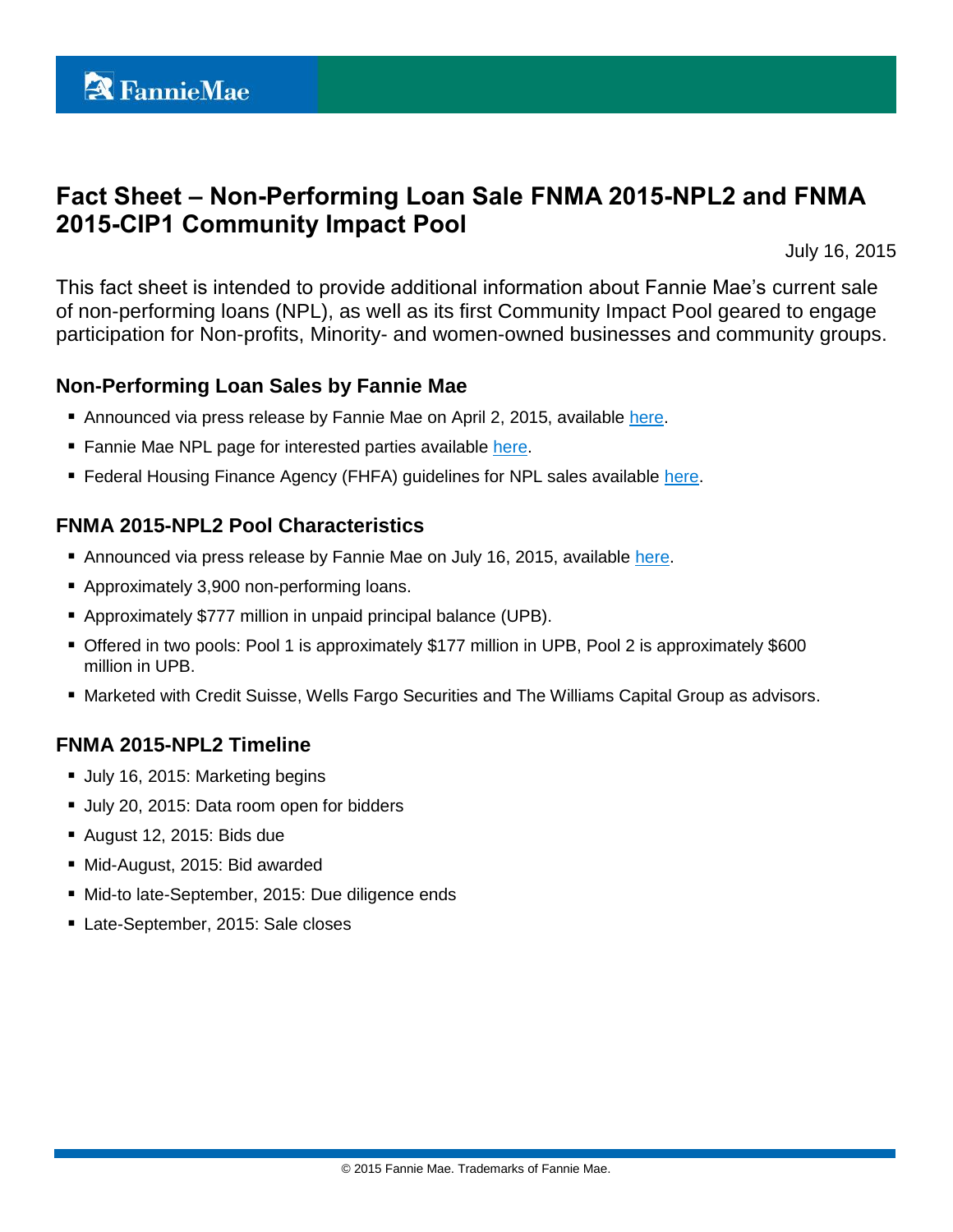# **Fact Sheet – Non-Performing Loan Sale FNMA 2015-NPL2 and FNMA 2015-CIP1 Community Impact Pool**

July 16, 2015

This fact sheet is intended to provide additional information about Fannie Mae's current sale of non-performing loans (NPL), as well as its first Community Impact Pool geared to engage participation for Non-profits, Minority- and women-owned businesses and community groups.

#### **Non-Performing Loan Sales by Fannie Mae**

- Announced via press release by Fannie Mae on April 2, 2015, available [here.](http://www.fanniemae.com/portal/about-us/media/financial-news/2015/6233.html)
- Fannie Mae NPL page for interested parties available [here.](http://www.fanniemae.com/portal/funding-the-market/npl/index.html)
- **Federal Housing Finance Agency (FHFA) guidelines for NPL sales available [here.](http://www.fhfa.gov/Media/PublicAffairs/Pages/Non-Performing-Loan-%28NPL%29-Sale-Requirements.aspx)**

## **FNMA 2015-NPL2 Pool Characteristics**

- Announced via press release by Fannie Mae on July 16, 2015, available [here.](http://www.fanniemae.com/portal/about-us/media/financial-news/2015/6271.html)
- Approximately 3,900 non-performing loans.
- Approximately \$777 million in unpaid principal balance (UPB).
- Offered in two pools: Pool 1 is approximately \$177 million in UPB, Pool 2 is approximately \$600 million in UPB.
- Marketed with Credit Suisse, Wells Fargo Securities and The Williams Capital Group as advisors.

## **FNMA 2015-NPL2 Timeline**

- **July 16, 2015: Marketing begins**
- Uuly 20, 2015: Data room open for bidders
- August 12, 2015: Bids due
- Mid-August, 2015: Bid awarded
- Mid-to late-September, 2015: Due diligence ends
- Late-September, 2015: Sale closes